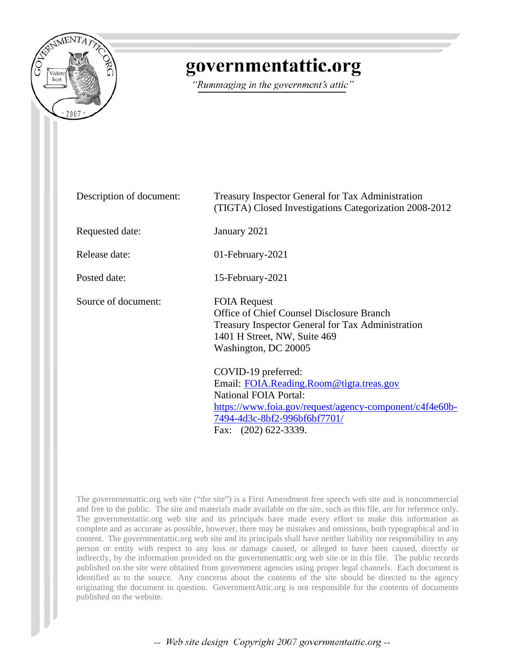

## governmentattic.org

"Rummaging in the government's attic"

| Description of document: | <b>Treasury Inspector General for Tax Administration</b><br>(TIGTA) Closed Investigations Categorization 2008-2012                                                                                                 |
|--------------------------|--------------------------------------------------------------------------------------------------------------------------------------------------------------------------------------------------------------------|
| Requested date:          | January 2021                                                                                                                                                                                                       |
| Release date:            | 01-February-2021                                                                                                                                                                                                   |
| Posted date:             | 15-February-2021                                                                                                                                                                                                   |
| Source of document:      | <b>FOIA Request</b><br>Office of Chief Counsel Disclosure Branch<br>Treasury Inspector General for Tax Administration<br>1401 H Street, NW, Suite 469<br>Washington, DC 20005                                      |
|                          | COVID-19 preferred:<br>Email: FOIA.Reading.Room@tigta.treas.gov<br><b>National FOIA Portal:</b><br>https://www.foia.gov/request/agency-component/c4f4e60b-<br>7494-4d3c-8bf2-996bf6bf7701/<br>Fax: (202) 622-3339. |

The governmentattic.org web site ("the site") is a First Amendment free speech web site and is noncommercial and free to the public. The site and materials made available on the site, such as this file, are for reference only. The governmentattic.org web site and its principals have made every effort to make this information as complete and as accurate as possible, however, there may be mistakes and omissions, both typographical and in content. The governmentattic.org web site and its principals shall have neither liability nor responsibility to any person or entity with respect to any loss or damage caused, or alleged to have been caused, directly or indirectly, by the information provided on the governmentattic.org web site or in this file. The public records published on the site were obtained from government agencies using proper legal channels. Each document is identified as to the source. Any concerns about the contents of the site should be directed to the agency originating the document in question. GovernmentAttic.org is not responsible for the contents of documents published on the website.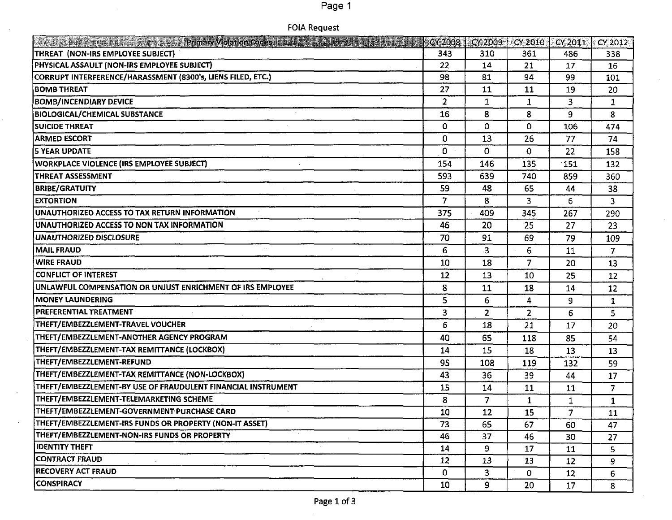## Page 1

|  | FOIA Request |  |
|--|--------------|--|
|--|--------------|--|

 $\sim$ 

 $\bar{.}$ 

|                                                              | CY 2008        | CY 2009                 | CY 2010        | CY 2011        | $\sqrt{\text{CV }2012}$ |
|--------------------------------------------------------------|----------------|-------------------------|----------------|----------------|-------------------------|
| THREAT (NON-IRS EMPLOYEE SUBJECT)                            | 343            | 310                     | 361            | 486            | 338                     |
| PHYSICAL ASSAULT (NON-IRS EMPLOYEE SUBJECT)                  | 22             | 14                      | 21             | 17             | 16                      |
| CORRUPT INTERFERENCE/HARASSMENT (8300's, LIENS FILED, ETC.)  | 98             | 81                      | 94             | 99             | 101                     |
| <b>BOMB THREAT</b>                                           | 27             | 11                      | 11             | 19             | 20                      |
| <b>BOMB/INCENDIARY DEVICE</b>                                | $\overline{2}$ | $\mathbf{1}$            | $\mathbf{1}$   | 3              | 1                       |
| <b>BIOLOGICAL/CHEMICAL SUBSTANCE</b>                         | 16             | 8                       | 8              | 9              | 8                       |
| <b>SUICIDE THREAT</b>                                        | 0              | $\Omega$                | $\Omega$       | 106            | 474                     |
| <b>ARMED ESCORT</b>                                          | 0              | 13                      | 26             | 77             | 74                      |
| <b>5 YEAR UPDATE</b>                                         | 0              | $\mathbf{0}$            | 0              | 22             | 158                     |
| <b>WORKPLACE VIOLENCE (IRS EMPLOYEE SUBJECT)</b>             | 154            | 146                     | 135            | 151            | 132                     |
| <b>THREAT ASSESSMENT</b>                                     | 593            | 639                     | 740            | 859            | 360                     |
| <b>BRIBE/GRATUITY</b>                                        | 59             | 48                      | 65             | 44             | 38                      |
| <b>EXTORTION</b>                                             | 7              | 8                       | 3              | 6              | 3                       |
| UNAUTHORIZED ACCESS TO TAX RETURN INFORMATION                | 375            | 409                     | 345            | 267            | 290                     |
| UNAUTHORIZED ACCESS TO NON TAX INFORMATION                   | 46             | 20                      | 25             | 27             | 23                      |
| UNAUTHORIZED DISCLOSURE                                      | 70             | 91                      | 69             | 79             | 109                     |
| <b>MAIL FRAUD</b>                                            | 6              | $\mathbf{3}$            | 6              | 11             | 7                       |
| <b>WIRE FRAUD</b>                                            | 10             | 18                      | $\overline{7}$ | 20             | 13                      |
| <b>CONFLICT OF INTEREST</b>                                  | 12             | 13                      | 10             | 25             | 12                      |
| UNLAWFUL COMPENSATION OR UNJUST ENRICHMENT OF IRS EMPLOYEE   | 8              | 11                      | 18             | 14             | 12                      |
| <b>MONEY LAUNDERING</b>                                      | 5              | 6                       | 4              | 9              | $\mathbf{1}$            |
| <b>PREFERENTIAL TREATMENT</b>                                | 3              | $\overline{2}$          | $\overline{2}$ | 6              | 5.                      |
| THEFT/EMBEZZLEMENT-TRAVEL VOUCHER                            | 6              | 18                      | 21             | 17             | 20                      |
| THEFT/EMBEZZLEMENT-ANOTHER AGENCY PROGRAM                    | 40             | 65                      | 118            | 85             | 54                      |
| THEFT/EMBEZZLEMENT-TAX REMITTANCE (LOCKBOX)                  | 14             | 15                      | 18             | 13             | 13                      |
| THEFT/EMBEZZLEMENT-REFUND                                    | 95             | 108                     | 119            | 132            | 59                      |
| THEFT/EMBEZZLEMENT-TAX REMITTANCE (NON-LOCKBOX)              | 43             | 36                      | 39             | 44             | 17                      |
| THEFT/EMBEZZLEMENT-BY USE OF FRAUDULENT FINANCIAL INSTRUMENT | 15             | 14                      | 11             | 11             | $\overline{7}$          |
| THEFT/EMBEZZLEMENT-TELEMARKETING SCHEME                      | 8              | 7                       | $\mathbf{1}$   | 1              | 1                       |
| THEFT/EMBEZZLEMENT-GOVERNMENT PURCHASE CARD                  | 10             | 12                      | 15             | $\overline{7}$ | 11                      |
| THEFT/EMBEZZLEMENT-IRS FUNDS OR PROPERTY (NON-IT ASSET)      | 73             | 65                      | 67             | 60             | 47                      |
| THEFT/EMBEZZLEMENT-NON-IRS FUNDS OR PROPERTY                 | 46             | 37                      | 46             | 30             | 27                      |
| <b>IDENTITY THEFT</b>                                        | 14             | 9                       | 17             | 11             | 5.                      |
| <b>CONTRACT FRAUD</b>                                        | 12             | 13                      | 13             | 12             | 9.                      |
| <b>RECOVERY ACT FRAUD</b>                                    | 0              | $\overline{\mathbf{3}}$ | 0              | 12             | 6.                      |
| CONSPIRACY                                                   | 10             | 9                       | 20             | 17             | 8                       |

 $\mathcal{A}^{(1)}$ 

 $\sim$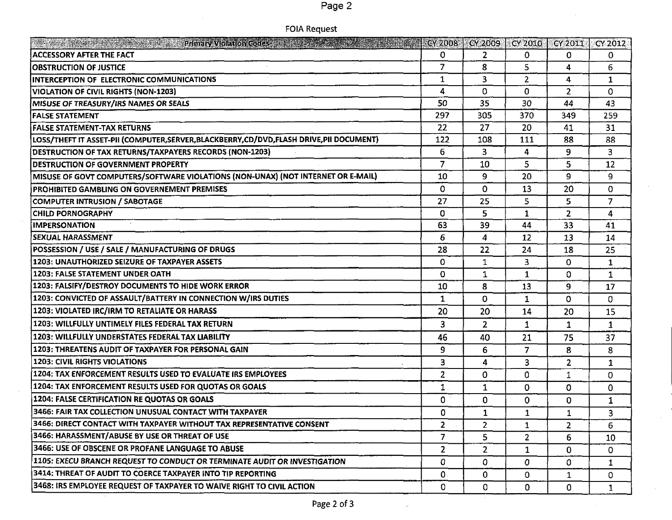|--|--|

| FOIA Request |  |
|--------------|--|
|--------------|--|

| <b>The additional to the component of the contract of the state of the contract of the contract of the contract of the contract of the contract of the contract of the contract of the contract of the contract of the contract </b> |                | $CV2008$ $CV2009$ $CV2010$ |                | CY 2011        | CY 2012      |
|--------------------------------------------------------------------------------------------------------------------------------------------------------------------------------------------------------------------------------------|----------------|----------------------------|----------------|----------------|--------------|
| <b>ACCESSORY AFTER THE FACT</b>                                                                                                                                                                                                      | 0              | $2^{\circ}$                | 0              | 0              | 0.           |
| <b>OBSTRUCTION OF JUSTICE</b>                                                                                                                                                                                                        | $\overline{7}$ | 8                          | 5              | 4              | 6.           |
| <b>INTERCEPTION OF ELECTRONIC COMMUNICATIONS</b>                                                                                                                                                                                     | $\mathbf{1}$   | $\overline{\mathbf{3}}$    | $\overline{2}$ | 4              | 1            |
| <b>VIOLATION OF CIVIL RIGHTS (NON-1203)</b>                                                                                                                                                                                          | 4              | $\Omega$                   | $\Omega$       | $\overline{2}$ | 0.           |
| MISUSE OF TREASURY/IRS NAMES OR SEALS                                                                                                                                                                                                | 50             | 35                         | 30             | 44             | 43           |
| <b>FALSE STATEMENT</b>                                                                                                                                                                                                               | 297            | 305                        | 370            | 349            | 259          |
| <b>FALSE STATEMENT-TAX RETURNS</b>                                                                                                                                                                                                   | 22             | 27                         | 20             | 41             | 31           |
| LOSS/THEFT IT ASSET-PII (COMPUTER, SERVER, BLACKBERRY, CD/DVD, FLASH DRIVE, PII DOCUMENT)                                                                                                                                            | 122            | 108                        | 111            | 88             | 88           |
| <b>DESTRUCTION OF TAX RETURNS/TAXPAYERS RECORDS (NON-1203)</b>                                                                                                                                                                       | 6              | 3                          | 4              | 9.             | 3            |
| <b>DESTRUCTION OF GOVERNMENT PROPERTY</b>                                                                                                                                                                                            | $\overline{7}$ | 10                         | 5              | 5              | 12           |
| MISUSE OF GOVT COMPUTERS/SOFTWARE VIOLATIONS (NON-UNAX) (NOT INTERNET OR E-MAIL)                                                                                                                                                     | 10             | 9                          | 20             | 9              | 9.           |
| PROHIBITED GAMBLING ON GOVERNEMENT PREMISES                                                                                                                                                                                          | 0              | 0                          | 13             | 20             | 0            |
| <b>COMPUTER INTRUSION / SABOTAGE</b>                                                                                                                                                                                                 | 27             | 25                         | 5              | 5              | 7            |
| <b>CHILD PORNOGRAPHY</b>                                                                                                                                                                                                             | 0              | 5                          | 1              | $\overline{2}$ | 4            |
| <b>IMPERSONATION</b>                                                                                                                                                                                                                 | 63             | 39                         | 44             | 33             | 41           |
| SEXUAL HARASSMENT                                                                                                                                                                                                                    | 6              | 4                          | 12             | 13             | 14           |
| POSSESSION / USE / SALE / MANUFACTURING OF DRUGS                                                                                                                                                                                     | 28             | 22                         | 24             | 18             | 25           |
| 1203: UNAUTHORIZED SEIZURE OF TAXPAYER ASSETS                                                                                                                                                                                        | 0              | 1                          | 3              | $\mathbf 0$    | $\mathbf{1}$ |
| 1203: FALSE STATEMENT UNDER OATH                                                                                                                                                                                                     | 0              | 1                          | $\mathbf{1}$   | 0              | $\mathbf{1}$ |
| 1203: FALSIFY/DESTROY DOCUMENTS TO HIDE WORK ERROR                                                                                                                                                                                   | 10             | 8                          | 13             | 9              | 17           |
| 1203: CONVICTED OF ASSAULT/BATTERY IN CONNECTION W/IRS DUTIES                                                                                                                                                                        | 1              | 0                          | 1              | 0              | 0            |
| 1203: VIOLATED IRC/IRM TO RETALIATE OR HARASS                                                                                                                                                                                        | 20             | 20                         | 14             | 20             | 15           |
| 1203: WILLFULLY UNTIMELY FILES FEDERAL TAX RETURN                                                                                                                                                                                    | 3              | $\overline{2}$             | 1              | $\mathbf{1}$   | $\mathbf 1$  |
| 1203: WILLFULLY UNDERSTATES FEDERAL TAX LIABILITY                                                                                                                                                                                    | 46             | 40                         | 21             | 75             | 37           |
| 1203: THREATENS AUDIT OF TAXPAYER FOR PERSONAL GAIN                                                                                                                                                                                  | 9              | 6                          | $\overline{7}$ | 8              | 8            |
| <b>1203: CIVIL RIGHTS VIOLATIONS</b>                                                                                                                                                                                                 | 3              | 4                          | 3              | $\mathbf{2}$   | 1            |
| 1204: TAX ENFORCEMENT RESULTS USED TO EVALUATE IRS EMPLOYEES                                                                                                                                                                         | $\overline{z}$ | 0                          | 0              | 1              | 0            |
| 1204: TAX ENFORCEMENT RESULTS USED FOR QUOTAS OR GOALS                                                                                                                                                                               | 1              | $\mathbf{1}$               | $\Omega$       | $\mathbf 0$    | 0.           |
| 1204: FALSE CERTIFICATION RE QUOTAS OR GOALS                                                                                                                                                                                         | 0              | 0                          | $\mathbf 0$    | 0              | 1            |
| 3466: FAIR TAX COLLECTION UNUSUAL CONTACT WITH TAXPAYER                                                                                                                                                                              | 0              | $\mathbf{1}$               | 1              | 1              | 3            |
| 3466: DIRECT CONTACT WITH TAXPAYER WITHOUT TAX REPRESENTATIVE CONSENT                                                                                                                                                                | $\mathbf{2}$   | $\mathbf{2}$               | 1              | 2              | 6.           |
| 3466: HARASSMENT/ABUSE BY USE OR THREAT OF USE                                                                                                                                                                                       | 7              | 5.                         | $\overline{2}$ | 6              | 10           |
| 3466: USE OF OBSCENE OR PROFANE LANGUAGE TO ABUSE                                                                                                                                                                                    | $\overline{2}$ | $\mathbf{2}^{\circ}$       | 1              | 0              | 0.           |
| 1105: EXECU BRANCH REQUEST TO CONDUCT OR TERMINATE AUDIT OR INVESTIGATION                                                                                                                                                            | 0              | 0.                         | 0              | $\mathbf{0}$   | 1            |
| 3414: THREAT OF AUDIT TO COERCE TAXPAYER INTO TIP REPORTING                                                                                                                                                                          | 0.             | 0                          | $\mathbf 0$    | 1              | 0            |
| 3468: IRS EMPLOYEE REQUEST OF TAXPAYER TO WAIVE RIGHT TO CIVIL ACTION                                                                                                                                                                | 0              | 0                          | $\mathbf 0$    | 0.             | $\mathbf{1}$ |